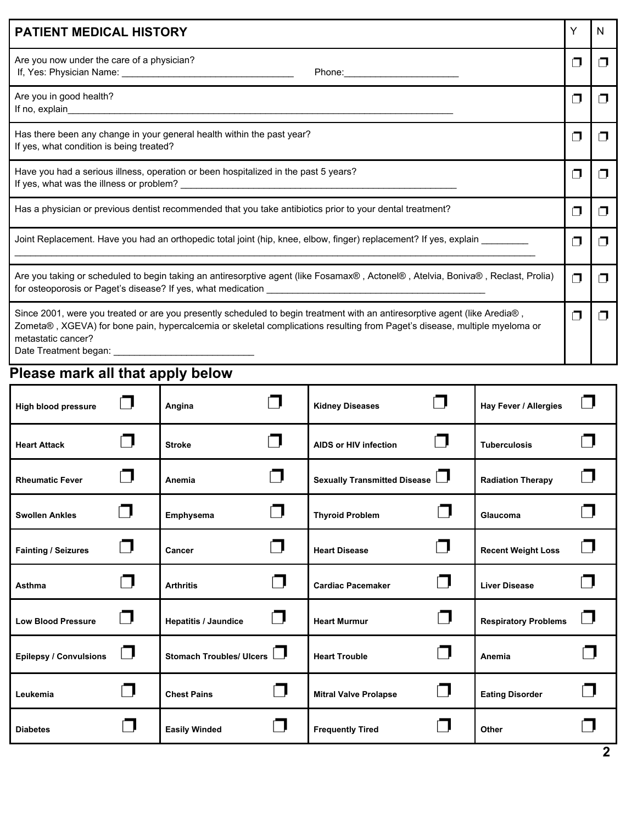| PATIENT MEDICAL HISTORY                                                                                                                                                                                                                                                        |  |  |  |  |
|--------------------------------------------------------------------------------------------------------------------------------------------------------------------------------------------------------------------------------------------------------------------------------|--|--|--|--|
| Are you now under the care of a physician?<br>Phone: _________________________                                                                                                                                                                                                 |  |  |  |  |
| Are you in good health?                                                                                                                                                                                                                                                        |  |  |  |  |
| Has there been any change in your general health within the past year?<br>If yes, what condition is being treated?                                                                                                                                                             |  |  |  |  |
| Have you had a serious illness, operation or been hospitalized in the past 5 years?                                                                                                                                                                                            |  |  |  |  |
| Has a physician or previous dentist recommended that you take antibiotics prior to your dental treatment?                                                                                                                                                                      |  |  |  |  |
| Joint Replacement. Have you had an orthopedic total joint (hip, knee, elbow, finger) replacement? If yes, explain                                                                                                                                                              |  |  |  |  |
| Are you taking or scheduled to begin taking an antiresorptive agent (like Fosamax®, Actonel®, Atelvia, Boniva®, Reclast, Prolia)                                                                                                                                               |  |  |  |  |
| Since 2001, were you treated or are you presently scheduled to begin treatment with an antiresorptive agent (like Aredia®,<br>Zometa®, XGEVA) for bone pain, hypercalcemia or skeletal complications resulting from Paget's disease, multiple myeloma or<br>metastatic cancer? |  |  |  |  |

## **Please mark all that apply below**

| <b>High blood pressure</b> |     | Angina                          |               | <b>Kidney Diseases</b>       |        | <b>Hay Fever / Allergies</b> |  |
|----------------------------|-----|---------------------------------|---------------|------------------------------|--------|------------------------------|--|
| <b>Heart Attack</b>        |     | <b>Stroke</b>                   |               | AIDS or HIV infection        | $\Box$ | <b>Tuberculosis</b>          |  |
| <b>Rheumatic Fever</b>     |     | Anemia                          |               | Sexually Transmitted Disease |        | <b>Radiation Therapy</b>     |  |
| <b>Swollen Ankles</b>      |     | Emphysema                       |               | <b>Thyroid Problem</b>       |        | Glaucoma                     |  |
| <b>Fainting / Seizures</b> |     | Cancer                          |               | <b>Heart Disease</b>         |        | <b>Recent Weight Loss</b>    |  |
| Asthma                     |     | <b>Arthritis</b>                |               | <b>Cardiac Pacemaker</b>     |        | <b>Liver Disease</b>         |  |
| <b>Low Blood Pressure</b>  |     | <b>Hepatitis / Jaundice</b>     | $\mathcal{L}$ | <b>Heart Murmur</b>          |        | <b>Respiratory Problems</b>  |  |
| Epilepsy / Convulsions     | n l | <b>Stomach Troubles/ Ulcers</b> |               | <b>Heart Trouble</b>         |        | Anemia                       |  |
| Leukemia                   |     | <b>Chest Pains</b>              |               | <b>Mitral Valve Prolapse</b> |        | <b>Eating Disorder</b>       |  |
| <b>Diabetes</b>            |     | <b>Easily Winded</b>            |               | <b>Frequently Tired</b>      |        | Other                        |  |